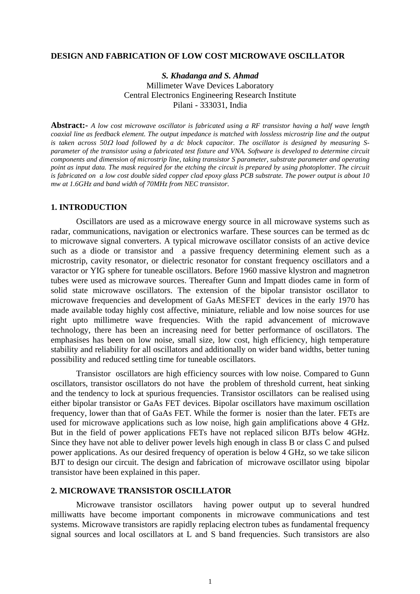#### **DESIGN AND FABRICATION OF LOW COST MICROWAVE OSCILLATOR**

*S. Khadanga and S. Ahmad* Millimeter Wave Devices Laboratory Central Electronics Engineering Research Institute Pilani - 333031, India

**Abstract:-** *A low cost microwave oscillator is fabricated using a RF transistor having a half wave length coaxial line as feedback element. The output impedance is matched with lossless microstrip line and the output is taken across 50*Ω *load followed by a dc block capacitor. The oscillator is designed by measuring Sparameter of the transistor using a fabricated test fixture and VNA. Software is developed to determine circuit components and dimension of microstrip line, taking transistor S parameter, substrate parameter and operating point as input data. The mask required for the etching the circuit is prepared by using photoplotter. The circuit is fabricated on a low cost double sided copper clad epoxy glass PCB substrate. The power output is about 10 mw at 1.6GHz and band width of 70MHz from NEC transistor.* 

## **1. INTRODUCTION**

 Oscillators are used as a microwave energy source in all microwave systems such as radar, communications, navigation or electronics warfare. These sources can be termed as dc to microwave signal converters. A typical microwave oscillator consists of an active device such as a diode or transistor and a passive frequency determining element such as a microstrip, cavity resonator, or dielectric resonator for constant frequency oscillators and a varactor or YIG sphere for tuneable oscillators. Before 1960 massive klystron and magnetron tubes were used as microwave sources. Thereafter Gunn and Impatt diodes came in form of solid state microwave oscillators. The extension of the bipolar transistor oscillator to microwave frequencies and development of GaAs MESFET devices in the early 1970 has made available today highly cost affective, miniature, reliable and low noise sources for use right upto millimetre wave frequencies. With the rapid advancement of microwave technology, there has been an increasing need for better performance of oscillators. The emphasises has been on low noise, small size, low cost, high efficiency, high temperature stability and reliability for all oscillators and additionally on wider band widths, better tuning possibility and reduced settling time for tuneable oscillators.

 Transistor oscillators are high efficiency sources with low noise. Compared to Gunn oscillators, transistor oscillators do not have the problem of threshold current, heat sinking and the tendency to lock at spurious frequencies. Transistor oscillators can be realised using either bipolar transistor or GaAs FET devices. Bipolar oscillators have maximum oscillation frequency, lower than that of GaAs FET. While the former is nosier than the later. FETs are used for microwave applications such as low noise, high gain amplifications above 4 GHz. But in the field of power applications FETs have not replaced silicon BJTs below 4GHz. Since they have not able to deliver power levels high enough in class B or class C and pulsed power applications. As our desired frequency of operation is below 4 GHz, so we take silicon BJT to design our circuit. The design and fabrication of microwave oscillator using bipolar transistor have been explained in this paper.

# **2. MICROWAVE TRANSISTOR OSCILLATOR**

 Microwave transistor oscillators having power output up to several hundred milliwatts have become important components in microwave communications and test systems. Microwave transistors are rapidly replacing electron tubes as fundamental frequency signal sources and local oscillators at L and S band frequencies. Such transistors are also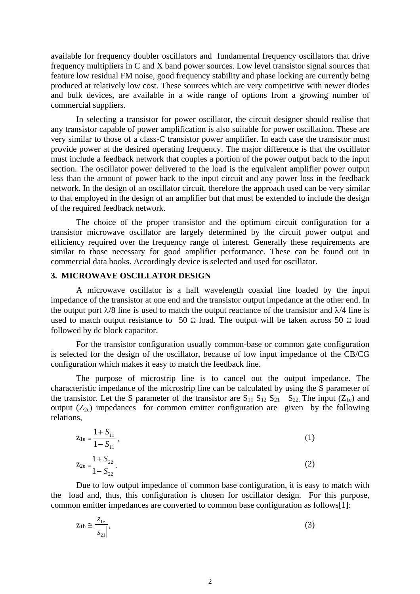available for frequency doubler oscillators and fundamental frequency oscillators that drive frequency multipliers in C and X band power sources. Low level transistor signal sources that feature low residual FM noise, good frequency stability and phase locking are currently being produced at relatively low cost. These sources which are very competitive with newer diodes and bulk devices, are available in a wide range of options from a growing number of commercial suppliers.

 In selecting a transistor for power oscillator, the circuit designer should realise that any transistor capable of power amplification is also suitable for power oscillation. These are very similar to those of a class-C transistor power amplifier. In each case the transistor must provide power at the desired operating frequency. The major difference is that the oscillator must include a feedback network that couples a portion of the power output back to the input section. The oscillator power delivered to the load is the equivalent amplifier power output less than the amount of power back to the input circuit and any power loss in the feedback network. In the design of an oscillator circuit, therefore the approach used can be very similar to that employed in the design of an amplifier but that must be extended to include the design of the required feedback network.

The choice of the proper transistor and the optimum circuit configuration for a transistor microwave oscillator are largely determined by the circuit power output and efficiency required over the frequency range of interest. Generally these requirements are similar to those necessary for good amplifier performance. These can be found out in commercial data books. Accordingly device is selected and used for oscillator.

# **3. MICROWAVE OSCILLATOR DESIGN**

A microwave oscillator is a half wavelength coaxial line loaded by the input impedance of the transistor at one end and the transistor output impedance at the other end. In the output port  $\lambda/8$  line is used to match the output reactance of the transistor and  $\lambda/4$  line is used to match output resistance to 50 Ω load. The output will be taken across 50 Ω load followed by dc block capacitor.

 For the transistor configuration usually common-base or common gate configuration is selected for the design of the oscillator, because of low input impedance of the CB/CG configuration which makes it easy to match the feedback line.

 The purpose of microstrip line is to cancel out the output impedance. The characteristic impedance of the microstrip line can be calculated by using the S parameter of the transistor. Let the S parameter of the transistor are  $S_{11} S_{12} S_{21} S_{22}$ . The input  $(Z_{1e})$  and output  $(Z_{2e})$  impedances for common emitter configuration are given by the following relations,

$$
z_{1e} = \frac{1 + S_{11}}{1 - S_{11}} \tag{1}
$$
\n
$$
z_{2e} = \frac{1 + S_{22}}{1 - S_{22}} \tag{2}
$$

 Due to low output impedance of common base configuration, it is easy to match with the load and, thus, this configuration is chosen for oscillator design. For this purpose, common emitter impedances are converted to common base configuration as follows[1]:

$$
z_{1b} \approx \frac{z_{1e}}{|s_{21}|},\tag{3}
$$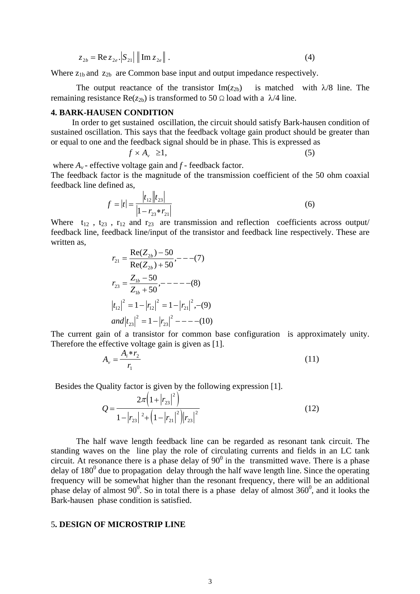$$
z_{2b} = \text{Re}\, z_{2e} \cdot |S_{21}| |\text{Im}\, z_{2e}| \tag{4}
$$

Where  $z_{1b}$  and  $z_{2b}$  are Common base input and output impedance respectively.

The output reactance of the transistor  $\text{Im}(z_{2b})$  is matched with  $\lambda/8$  line. The remaining resistance  $\text{Re}(z_{2b})$  is transformed to 50 Ω load with a  $\lambda$ /4 line.

## **4. BARK-HAUSEN CONDITION**

 In order to get sustained oscillation, the circuit should satisfy Bark-hausen condition of sustained oscillation. This says that the feedback voltage gain product should be greater than or equal to one and the feedback signal should be in phase. This is expressed as

$$
f \times A_{\nu} \geq 1,\tag{5}
$$

where  $A_v$  - effective voltage gain and  $f$  - feedback factor.

The feedback factor is the magnitude of the transmission coefficient of the 50 ohm coaxial feedback line defined as,

$$
f = |t| = \frac{|t_{12}||t_{23}|}{|1 - r_{23} * r_{21}|}
$$
(6)

Where  $t_{12}$ ,  $t_{23}$ ,  $r_{12}$  and  $r_{23}$  are transmission and reflection coefficients across output/ feedback line, feedback line/input of the transistor and feedback line respectively. These are written as,

$$
r_{21} = \frac{\text{Re}(Z_{2b}) - 50}{\text{Re}(Z_{2b}) + 50}, \quad - - (7)
$$
\n
$$
r_{23} = \frac{Z_{1b} - 50}{Z_{1b} + 50}, \quad - - - - (8)
$$
\n
$$
|t_{12}|^2 = 1 - |r_{12}|^2 = 1 - |r_{21}|^2, \quad - (9)
$$
\n
$$
and |t_{23}|^2 = 1 - |r_{23}|^2 - - - - (10)
$$

The current gain of a transistor for common base configuration is approximately unity. Therefore the effective voltage gain is given as [1].

$$
A_{\nu} = \frac{A_i * r_2}{r_1} \tag{11}
$$

Besides the Quality factor is given by the following expression [1].

$$
Q = \frac{2\pi \left(1 + |r_{23}|^2\right)}{1 - |r_{23}|^2 + \left(1 - |r_{21}|^2\right) |r_{23}|^2}
$$
(12)

 The half wave length feedback line can be regarded as resonant tank circuit. The standing waves on the line play the role of circulating currents and fields in an LC tank circuit. At resonance there is a phase delay of  $90^0$  in the transmitted wave. There is a phase delay of  $180^0$  due to propagation delay through the half wave length line. Since the operating frequency will be somewhat higher than the resonant frequency, there will be an additional phase delay of almost  $90^0$ . So in total there is a phase delay of almost  $360^0$ , and it looks the Bark-hausen phase condition is satisfied.

### 5**. DESIGN OF MICROSTRIP LINE**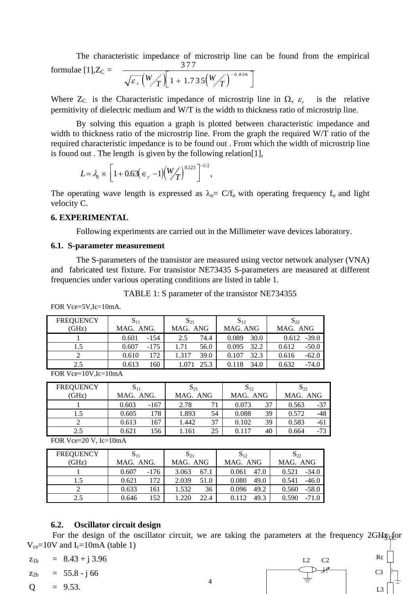The characteristic impedance of microstrip line can be found from the empirical formulae  $[1]$ , $Z_C$  = 377

$$
\overline{\sqrt{\varepsilon_r}\left(W\diagup_T\right)}\left[1+1.735\left(W\diagup_T\right)^{-0.836}\right]
$$

Where  $Z_C$  is the Characteristic impedance of microstrip line in  $\Omega$ ,  $\varepsilon$ , is the relative permitivity of dielectric medium and W/T is the width to thickness ratio of microstrip line.

 By solving this equation a graph is plotted between characteristic impedance and width to thickness ratio of the microstrip line. From the graph the required W/T ratio of the required characteristic impedance is to be found out . From which the width of microstrip line is found out . The length is given by the following relation[1],

$$
L = \lambda_0 \times \left[1 + 0.63(\epsilon_r - 1)(W/T)^{0.123}\right]^{-1/2},
$$

The operating wave length is expressed as  $\lambda_0 = C/f_0$  with operating frequency  $f_0$  and light velocity C.

### **6. EXPERIMENTAL**

Following experiments are carried out in the Millimeter wave devices laboratory.

## **6.1. S-parameter measurement**

 The S-parameters of the transistor are measured using vector network analyser (VNA) and fabricated test fixture. For transistor NE73435 S-parameters are measured at different frequencies under various operating conditions are listed in table 1.

TABLE 1: S parameter of the transistor NE734355

FOR Vce=5V,Ic=10mA.

| <b>FREQUENCY</b> | $S_{11}$            |        | $S_{21}$ |      | $S_{12}$ |      | $S_{22}$ |         |
|------------------|---------------------|--------|----------|------|----------|------|----------|---------|
| (GHz)            | MAG. ANG.           |        | MAG. ANG |      | MAG. ANG |      | MAG. ANG |         |
|                  | 0.601               | $-154$ | 2.5      | 74.4 | 0.089    | 30.0 | 0.612    | $-39.0$ |
| 1.5              | 0.607               | $-175$ | 1.71     | 56.0 | 0.095    | 32.2 | 0.612    | $-50.0$ |
|                  | 0.610               | 172    | 1.317    | 39.0 | 0.107    | 32.3 | 0.616    | $-62.0$ |
| 2.5              | $0.61$ <sup>2</sup> | 160    |          | 25.3 |          | 34.0 | 0.632    | $-74.0$ |

FOR Vce=10V,Ic=10mA

| <b>FREQUENCY</b> | 511       |        | $S_{21}$ |    | $\mathbf{S}_{12}$ |    | $\mathbf{S}_{22}$ |       |
|------------------|-----------|--------|----------|----|-------------------|----|-------------------|-------|
| (GHz)            | MAG. ANG. |        | MAG. ANG |    | MAG. ANG          |    | MAG. ANG          |       |
|                  | 0.603     | $-167$ | 2.78     |    | 0.073             | 37 | 0.563             | $-37$ |
| 1.5              | 0.605     | 178    | 1.893    | 54 | 0.088             | 39 | 0.572             | -48   |
|                  | 0.613     | 167    | 1.442    | 37 | 0.102             | 39 | 0.583             | -61   |
| 2.5              | 0.621     | !56    | .161     | 25 | በ 117             | 40 | 0.664             | $-73$ |

FOR Vce=20 V, Ic=10mA

| <b>FREQUENCY</b> | $S_{11}$  |      | $S_{21}$ |      | $S_{12}$ |      | $S_{22}$ |         |
|------------------|-----------|------|----------|------|----------|------|----------|---------|
| (GHz)            | MAG. ANG. |      | MAG. ANG |      | MAG. ANG |      | MAG. ANG |         |
|                  | 0.607     | -176 | 3.063    | 67.1 | 0.061    | 47.0 | 0.521    | $-34.0$ |
| 1.5              | 0.621     | 172  | 2.039    | 51.0 | 0.080    | 49.0 | 0.541    | $-46.0$ |
|                  | 0.633     | 161  | 1.532    | 36   | 0.096    | 49.2 | 0.560    | $-58.0$ |
| 2.5              | 0.646     | 152  |          | 22.4 |          | 49.3 | 0.590    |         |

## **6.2. Oscillator circuit design**

For the design of the oscillator circuit, we are taking the parameters at the frequency  $2GH_{\mathbf{X}\text{-}\mathbf{X}}$  $V_{ce}$ =10V and  $I_c$ =10mA (table 1)

 $z_{1b}$  = 8.43 + j 3.96

 $z_{2b}$  = 55.8 - j 66

 $Q = 9.53$ .

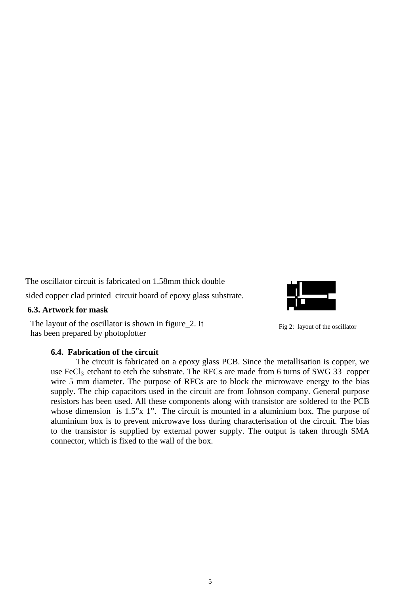The oscillator circuit is fabricated on 1.58mm thick double sided copper clad printed circuit board of epoxy glass substrate.

# **6.3. Artwork for mask**

 has been prepared by photoplotter The layout of the oscillator is shown in figure\_2. It



Fig 2: layout of the oscillator

# **6.4. Fabrication of the circuit**

 The circuit is fabricated on a epoxy glass PCB. Since the metallisation is copper, we use FeCl<sub>3</sub> etchant to etch the substrate. The RFCs are made from 6 turns of SWG 33 copper wire 5 mm diameter. The purpose of RFCs are to block the microwave energy to the bias supply. The chip capacitors used in the circuit are from Johnson company. General purpose resistors has been used. All these components along with transistor are soldered to the PCB whose dimension is 1.5"x 1". The circuit is mounted in a aluminium box. The purpose of aluminium box is to prevent microwave loss during characterisation of the circuit. The bias to the transistor is supplied by external power supply. The output is taken through SMA connector, which is fixed to the wall of the box.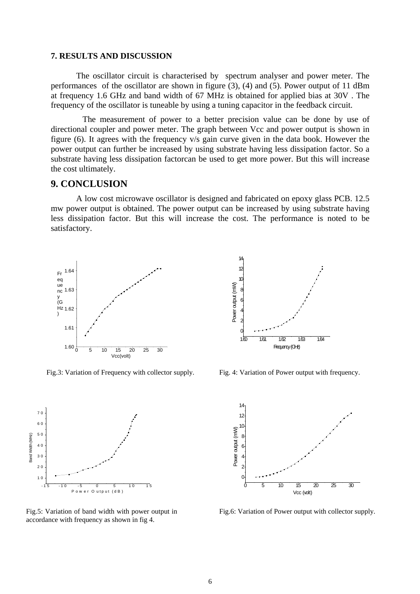#### **7. RESULTS AND DISCUSSION**

 The oscillator circuit is characterised by spectrum analyser and power meter. The performances of the oscillator are shown in figure (3), (4) and (5). Power output of 11 dBm at frequency 1.6 GHz and band width of 67 MHz is obtained for applied bias at 30V . The frequency of the oscillator is tuneable by using a tuning capacitor in the feedback circuit.

 The measurement of power to a better precision value can be done by use of directional coupler and power meter. The graph between Vcc and power output is shown in figure (6). It agrees with the frequency v/s gain curve given in the data book. However the power output can further be increased by using substrate having less dissipation factor. So a substrate having less dissipation factorcan be used to get more power. But this will increase the cost ultimately.

# **9. CONCLUSION**

A low cost microwave oscillator is designed and fabricated on epoxy glass PCB. 12.5 mw power output is obtained. The power output can be increased by using substrate having less dissipation factor. But this will increase the cost. The performance is noted to be satisfactory.



Fig.3: Variation of Frequency with collector supply. Fig. 4: Variation of Power output with frequency.



Fig.5: Variation of band width with power output in accordance with frequency as shown in fig 4.





Fig.6: Variation of Power output with collector supply.